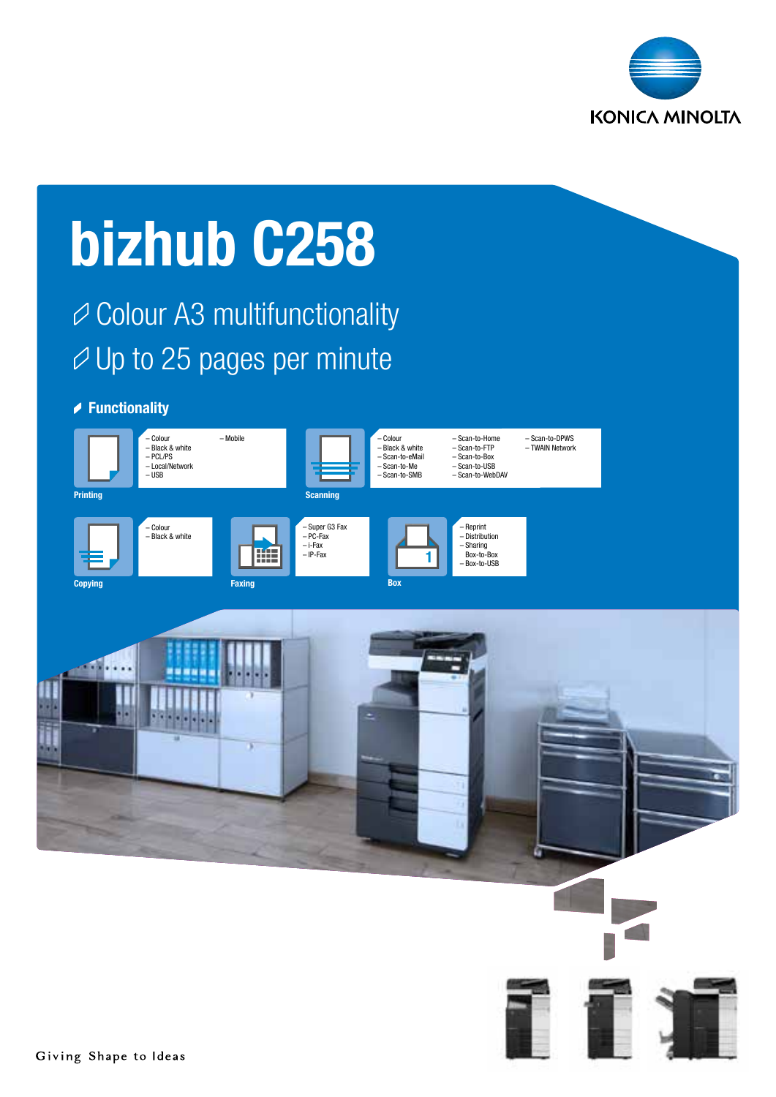

# bizhub C258

Colour A3 multifunctionality  $\varnothing$  Up to 25 pages per minute

## **▶ Functionality**

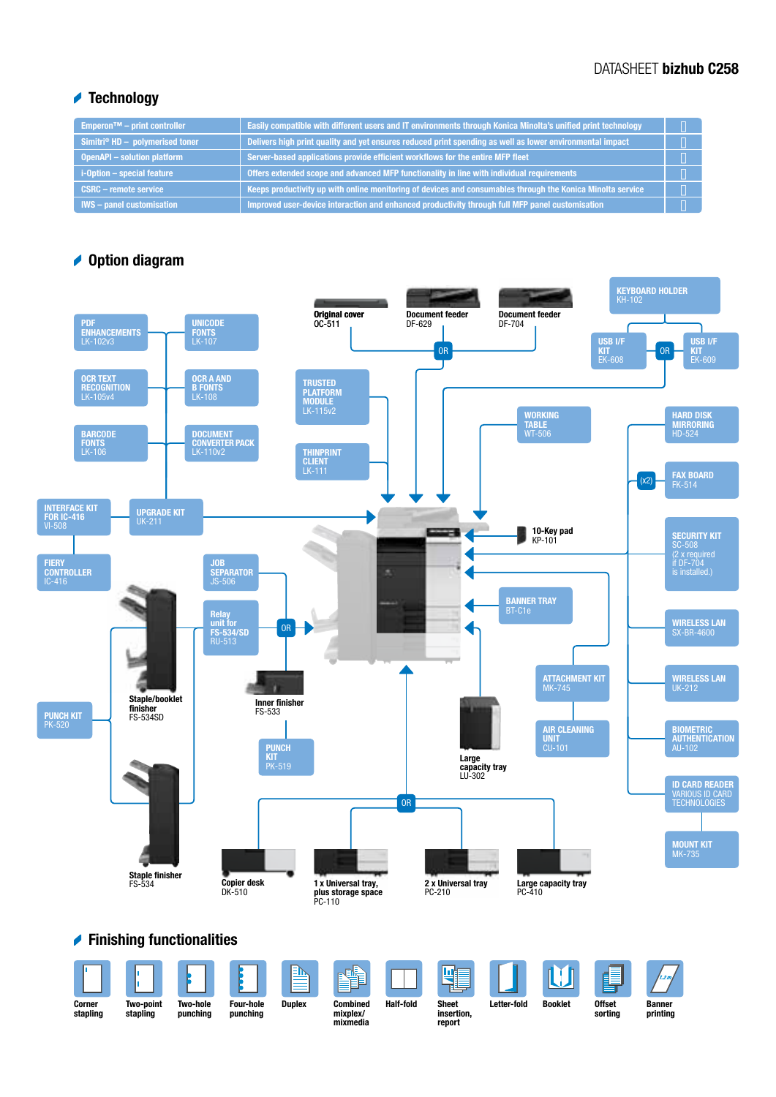## DATASHEET bizhub C258

## **★ Technology**

| <b>Emperon<sup>™</sup></b> – print controller | Easily compatible with different users and IT environments through Konica Minolta's unified print technology |  |
|-----------------------------------------------|--------------------------------------------------------------------------------------------------------------|--|
| Simitri® $HD -$ polymerised toner             | Delivers high print quality and yet ensures reduced print spending as well as lower environmental impact     |  |
| <b>OpenAPI - solution platform</b>            | Server-based applications provide efficient workflows for the entire MFP fleet                               |  |
| i-Option - special feature                    | Offers extended scope and advanced MFP functionality in line with individual requirements                    |  |
| <b>CSRC - remote service</b>                  | Keeps productivity up with online monitoring of devices and consumables through the Konica Minolta service   |  |
| <b>IWS</b> – panel customisation              | Improved user-device interaction and enhanced productivity through full MFP panel customisation              |  |

## **▲ Option diagram**

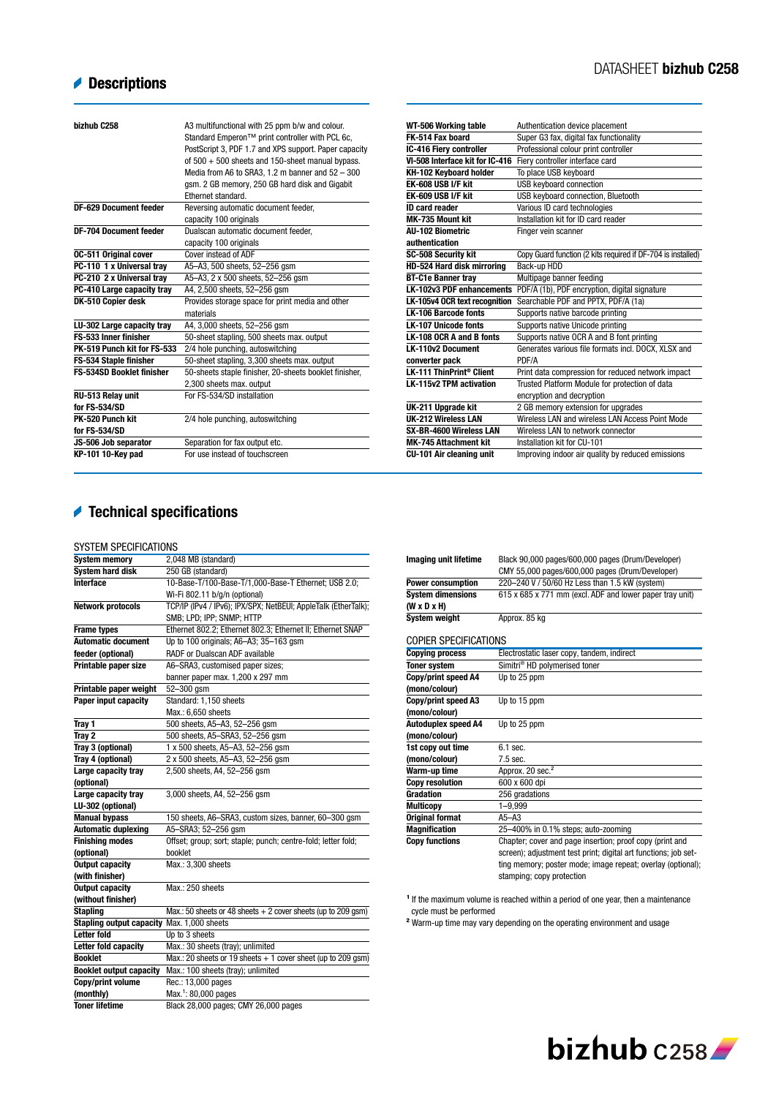# **Descriptions**

| bizhub C258                      | A3 multifunctional with 25 ppm b/w and colour.         | WT-506 Working table                 | Authentication device placement                              |
|----------------------------------|--------------------------------------------------------|--------------------------------------|--------------------------------------------------------------|
|                                  | Standard Emperon™ print controller with PCL 6c,        | FK-514 Fax board                     | Super G3 fax, digital fax functionality                      |
|                                  | PostScript 3, PDF 1.7 and XPS support. Paper capacity  | IC-416 Fiery controller              | Professional colour print controller                         |
|                                  | of $500 + 500$ sheets and 150-sheet manual bypass.     | VI-508 Interface kit for IC-416      | Fierv controller interface card                              |
|                                  | Media from A6 to SRA3, 1.2 m banner and 52 - 300       | KH-102 Keyboard holder               | To place USB keyboard                                        |
|                                  | gsm. 2 GB memory, 250 GB hard disk and Gigabit         | EK-608 USB I/F kit                   | USB keyboard connection                                      |
|                                  | Ethernet standard.                                     | EK-609 USB I/F kit                   | USB keyboard connection. Bluetooth                           |
| <b>DF-629 Document feeder</b>    | Reversing automatic document feeder,                   | <b>ID card reader</b>                | Various ID card technologies                                 |
|                                  | capacity 100 originals                                 | MK-735 Mount kit                     | Installation kit for ID card reader                          |
| <b>DF-704 Document feeder</b>    | Dualscan automatic document feeder,                    | <b>AU-102 Biometric</b>              | Finger vein scanner                                          |
|                                  | capacity 100 originals                                 | authentication                       |                                                              |
| <b>0C-511 Original cover</b>     | Cover instead of ADF                                   | <b>SC-508 Security kit</b>           | Copy Guard function (2 kits required if DF-704 is installed) |
| PC-110 1 x Universal trav        | A5-A3, 500 sheets, 52-256 qsm                          | HD-524 Hard disk mirroring           | Back-up HDD                                                  |
| PC-210 2 x Universal trav        | A5-A3, 2 x 500 sheets, 52-256 qsm                      | <b>BT-C1e Banner trav</b>            | Multipage banner feeding                                     |
| PC-410 Large capacity tray       | A4, 2,500 sheets, 52-256 gsm                           | <b>LK-102v3 PDF enhancements</b>     | PDF/A (1b), PDF encryption, digital signature                |
| DK-510 Copier desk               | Provides storage space for print media and other       | LK-105v4 OCR text recognition        | Searchable PDF and PPTX, PDF/A (1a)                          |
|                                  | materials                                              | <b>LK-106 Barcode fonts</b>          | Supports native barcode printing                             |
| LU-302 Large capacity tray       | A4, 3,000 sheets, 52-256 gsm                           | <b>LK-107 Unicode fonts</b>          | Supports native Unicode printing                             |
| FS-533 Inner finisher            | 50-sheet stapling, 500 sheets max. output              | LK-108 OCR A and B fonts             | Supports native OCR A and B font printing                    |
| PK-519 Punch kit for FS-533      | 2/4 hole punching, autoswitching                       | <b>LK-110v2 Document</b>             | Generates various file formats incl. DOCX, XLSX and          |
| FS-534 Staple finisher           | 50-sheet stapling, 3,300 sheets max. output            | converter pack                       | PDF/A                                                        |
| <b>FS-534SD Booklet finisher</b> | 50-sheets staple finisher, 20-sheets booklet finisher, | LK-111 ThinPrint <sup>®</sup> Client | Print data compression for reduced network impact            |
|                                  | 2,300 sheets max. output                               | LK-115v2 TPM activation              | Trusted Platform Module for protection of data               |
| RU-513 Relay unit                | For FS-534/SD installation                             |                                      | encryption and decryption                                    |
| for FS-534/SD                    |                                                        | UK-211 Upgrade kit                   | 2 GB memory extension for upgrades                           |
| PK-520 Punch kit                 | 2/4 hole punching, autoswitching                       | <b>UK-212 Wireless LAN</b>           | Wireless LAN and wireless LAN Access Point Mode              |
| for FS-534/SD                    |                                                        | SX-BR-4600 Wireless LAN              | Wireless LAN to network connector                            |
| JS-506 Job separator             | Separation for fax output etc.                         | <b>MK-745 Attachment kit</b>         | Installation kit for CU-101                                  |
| KP-101 10-Key pad                | For use instead of touchscreen                         | CU-101 Air cleaning unit             | Improving indoor air quality by reduced emissions            |

# Technical specifications

| טווטוווטו ווטאווטווט                       |                                                                |
|--------------------------------------------|----------------------------------------------------------------|
| <b>System memory</b>                       | 2,048 MB (standard)                                            |
| <b>System hard disk</b>                    | 250 GB (standard)                                              |
| <b>Interface</b>                           | 10-Base-T/100-Base-T/1,000-Base-T Ethernet; USB 2.0;           |
|                                            | Wi-Fi 802.11 b/q/n (optional)                                  |
| <b>Network protocols</b>                   | TCP/IP (IPv4 / IPv6); IPX/SPX; NetBEUI; AppleTalk (EtherTalk); |
|                                            | SMB; LPD; IPP; SNMP; HTTP                                      |
| <b>Frame types</b>                         | Ethernet 802.2; Ethernet 802.3; Ethernet II; Ethernet SNAP     |
| <b>Automatic document</b>                  | Up to 100 originals; A6-A3; 35-163 gsm                         |
| feeder (optional)                          | RADF or Dualscan ADF available                                 |
| Printable paper size                       | A6-SRA3, customised paper sizes;                               |
|                                            | banner paper max. 1,200 x 297 mm                               |
| Printable paper weight                     | 52-300 gsm                                                     |
| Paper input capacity                       | Standard: 1,150 sheets                                         |
|                                            | Max.: 6,650 sheets                                             |
| Tray 1                                     | 500 sheets, A5-A3, 52-256 gsm                                  |
| Tray 2                                     | 500 sheets, A5-SRA3, 52-256 gsm                                |
| Tray 3 (optional)                          | 1 x 500 sheets, A5-A3, 52-256 gsm                              |
| Tray 4 (optional)                          | 2 x 500 sheets, A5-A3, 52-256 gsm                              |
| Large capacity tray                        | 2,500 sheets, A4, 52-256 gsm                                   |
| (optional)                                 |                                                                |
| Large capacity tray                        | 3,000 sheets, A4, 52-256 qsm                                   |
| LU-302 (optional)                          |                                                                |
| <b>Manual bypass</b>                       | 150 sheets, A6-SRA3, custom sizes, banner, 60-300 gsm          |
| <b>Automatic duplexing</b>                 | A5-SRA3; 52-256 gsm                                            |
| <b>Finishing modes</b>                     | Offset; group; sort; staple; punch; centre-fold; letter fold;  |
| (optional)                                 | booklet                                                        |
| <b>Output capacity</b>                     | Max.: 3,300 sheets                                             |
| (with finisher)                            |                                                                |
| <b>Output capacity</b>                     | Max.: 250 sheets                                               |
| (without finisher)                         |                                                                |
| <b>Stapling</b>                            | Max.: 50 sheets or 48 sheets $+2$ cover sheets (up to 209 qsm) |
| Stapling output capacity Max. 1,000 sheets |                                                                |
| <b>Letter fold</b>                         | Up to 3 sheets                                                 |
| Letter fold capacity                       | Max.: 30 sheets (tray); unlimited                              |
| <b>Booklet</b>                             | Max.: 20 sheets or 19 sheets $+1$ cover sheet (up to 209 gsm)  |
| <b>Booklet output capacity</b>             | Max.: 100 sheets (tray); unlimited                             |
| Copy/print volume                          | Rec.: 13,000 pages                                             |
| (monthly)                                  | Max. <sup>1</sup> : 80,000 pages                               |
| <b>Toner lifetime</b>                      | Black 28,000 pages; CMY 26,000 pages                           |
|                                            |                                                                |

| <b>Imaging unit lifetime</b> | Black 90,000 pages/600,000 pages (Drum/Developer)               |
|------------------------------|-----------------------------------------------------------------|
|                              | CMY 55,000 pages/600,000 pages (Drum/Developer)                 |
| <b>Power consumption</b>     | 220-240 V / 50/60 Hz Less than 1.5 kW (system)                  |
| <b>System dimensions</b>     | 615 x 685 x 771 mm (excl. ADF and lower paper tray unit)        |
| $(W \times D \times H)$      |                                                                 |
| <b>System weight</b>         | Approx, 85 kg                                                   |
|                              |                                                                 |
| COPIER SPECIFICATIONS        |                                                                 |
| <b>Copying process</b>       | Electrostatic laser copy, tandem, indirect                      |
| <b>Toner system</b>          | Simitri <sup>®</sup> HD polymerised toner                       |
| Copy/print speed A4          | Up to 25 ppm                                                    |
| (mono/colour)                |                                                                 |
| Copy/print speed A3          | Up to 15 ppm                                                    |
| (mono/colour)                |                                                                 |
| Autoduplex speed A4          | Up to 25 ppm                                                    |
| (mono/colour)                |                                                                 |
| 1st copy out time            | 6.1 sec.                                                        |
| (mono/colour)                | $7.5$ sec.                                                      |
| Warm-up time                 | Approx. 20 sec. <sup>2</sup>                                    |
| <b>Copy resolution</b>       | 600 x 600 dpi                                                   |
| Gradation                    | 256 gradations                                                  |
| <b>Multicopy</b>             | $1 - 9.999$                                                     |
| <b>Original format</b>       | $A5 - A3$                                                       |
| <b>Magnification</b>         | 25-400% in 0.1% steps; auto-zooming                             |
| <b>Copy functions</b>        | Chapter; cover and page insertion; proof copy (print and        |
|                              | screen); adjustment test print; digital art functions; job set- |
|                              | ting memory; poster mode; image repeat; overlay (optional);     |
|                              | stamping; copy protection                                       |
|                              |                                                                 |

 $<sup>1</sup>$  If the maximum volume is reached within a period of one year, then a maintenance</sup> cycle must be performed

<sup>2</sup> Warm-up time may vary depending on the operating environment and usage